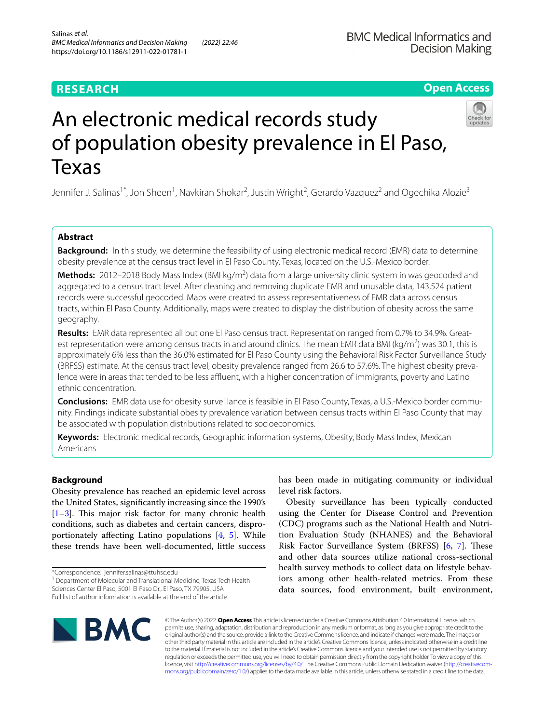# **RESEARCH**

# **Open Access**



# An electronic medical records study of population obesity prevalence in El Paso, Texas

Jennifer J. Salinas<sup>1\*</sup>, Jon Sheen<sup>1</sup>, Navkiran Shokar<sup>2</sup>, Justin Wright<sup>2</sup>, Gerardo Vazquez<sup>2</sup> and Ogechika Alozie<sup>3</sup>

# **Abstract**

**Background:** In this study, we determine the feasibility of using electronic medical record (EMR) data to determine obesity prevalence at the census tract level in El Paso County, Texas, located on the U.S.-Mexico border.

**Methods:** 2012–2018 Body Mass Index (BMI kg/m<sup>2</sup>) data from a large university clinic system in was geocoded and aggregated to a census tract level. After cleaning and removing duplicate EMR and unusable data, 143,524 patient records were successful geocoded. Maps were created to assess representativeness of EMR data across census tracts, within El Paso County. Additionally, maps were created to display the distribution of obesity across the same geography.

**Results:** EMR data represented all but one El Paso census tract. Representation ranged from 0.7% to 34.9%. Greatest representation were among census tracts in and around clinics. The mean EMR data BMI (kg/m<sup>2</sup>) was 30.1, this is approximately 6% less than the 36.0% estimated for El Paso County using the Behavioral Risk Factor Surveillance Study (BRFSS) estimate. At the census tract level, obesity prevalence ranged from 26.6 to 57.6%. The highest obesity prevalence were in areas that tended to be less affluent, with a higher concentration of immigrants, poverty and Latino ethnic concentration.

**Conclusions:** EMR data use for obesity surveillance is feasible in El Paso County, Texas, a U.S.-Mexico border community. Findings indicate substantial obesity prevalence variation between census tracts within El Paso County that may be associated with population distributions related to socioeconomics.

**Keywords:** Electronic medical records, Geographic information systems, Obesity, Body Mass Index, Mexican Americans

# **Background**

Obesity prevalence has reached an epidemic level across the United States, signifcantly increasing since the 1990's  $[1-3]$  $[1-3]$ . This major risk factor for many chronic health conditions, such as diabetes and certain cancers, disproportionately afecting Latino populations [[4,](#page-5-2) [5](#page-5-3)]. While these trends have been well-documented, little success

has been made in mitigating community or individual level risk factors.

Obesity surveillance has been typically conducted using the Center for Disease Control and Prevention (CDC) programs such as the National Health and Nutrition Evaluation Study (NHANES) and the Behavioral Risk Factor Surveillance System (BRFSS) [[6,](#page-5-4) [7\]](#page-5-5). These and other data sources utilize national cross-sectional health survey methods to collect data on lifestyle behaviors among other health-related metrics. From these data sources, food environment, built environment,



© The Author(s) 2022. **Open Access** This article is licensed under a Creative Commons Attribution 4.0 International License, which permits use, sharing, adaptation, distribution and reproduction in any medium or format, as long as you give appropriate credit to the original author(s) and the source, provide a link to the Creative Commons licence, and indicate if changes were made. The images or other third party material in this article are included in the article's Creative Commons licence, unless indicated otherwise in a credit line to the material. If material is not included in the article's Creative Commons licence and your intended use is not permitted by statutory regulation or exceeds the permitted use, you will need to obtain permission directly from the copyright holder. To view a copy of this licence, visit [http://creativecommons.org/licenses/by/4.0/.](http://creativecommons.org/licenses/by/4.0/) The Creative Commons Public Domain Dedication waiver ([http://creativecom](http://creativecommons.org/publicdomain/zero/1.0/)[mons.org/publicdomain/zero/1.0/\)](http://creativecommons.org/publicdomain/zero/1.0/) applies to the data made available in this article, unless otherwise stated in a credit line to the data.

<sup>\*</sup>Correspondence: jennifer.salinas@ttuhsc.edu

<sup>&</sup>lt;sup>1</sup> Department of Molecular and Translational Medicine, Texas Tech Health Sciences Center El Paso, 5001 El Paso Dr., El Paso, TX 79905, USA Full list of author information is available at the end of the article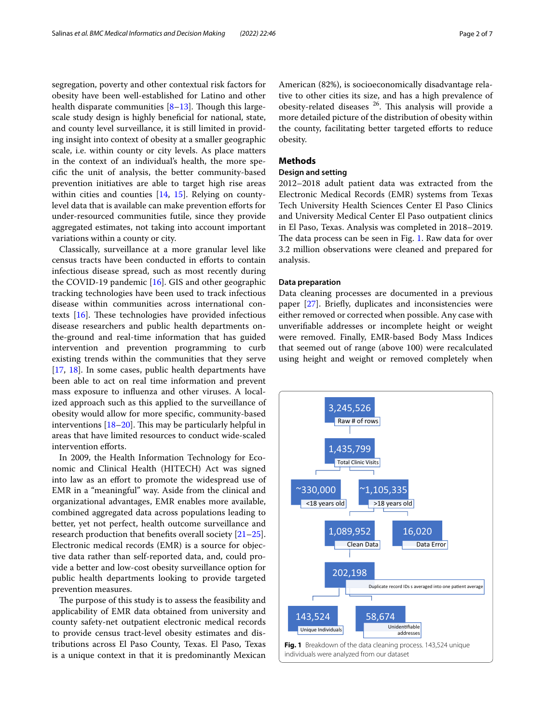segregation, poverty and other contextual risk factors for obesity have been well-established for Latino and other health disparate communities  $[8-13]$  $[8-13]$ . Though this largescale study design is highly benefcial for national, state, and county level surveillance, it is still limited in providing insight into context of obesity at a smaller geographic scale, i.e. within county or city levels. As place matters in the context of an individual's health, the more specifc the unit of analysis, the better community-based prevention initiatives are able to target high rise areas within cities and counties [[14,](#page-5-8) [15\]](#page-5-9). Relying on countylevel data that is available can make prevention efforts for under-resourced communities futile, since they provide aggregated estimates, not taking into account important variations within a county or city.

Classically, surveillance at a more granular level like census tracts have been conducted in eforts to contain infectious disease spread, such as most recently during the COVID-19 pandemic [[16](#page-5-10)]. GIS and other geographic tracking technologies have been used to track infectious disease within communities across international contexts  $[16]$  $[16]$  $[16]$ . These technologies have provided infectious disease researchers and public health departments onthe-ground and real-time information that has guided intervention and prevention programming to curb existing trends within the communities that they serve [[17,](#page-5-11) [18](#page-5-12)]. In some cases, public health departments have been able to act on real time information and prevent mass exposure to infuenza and other viruses. A localized approach such as this applied to the surveillance of obesity would allow for more specifc, community-based interventions  $[18–20]$  $[18–20]$  $[18–20]$  $[18–20]$ . This may be particularly helpful in areas that have limited resources to conduct wide-scaled intervention efforts.

In 2009, the Health Information Technology for Economic and Clinical Health (HITECH) Act was signed into law as an effort to promote the widespread use of EMR in a "meaningful" way. Aside from the clinical and organizational advantages, EMR enables more available, combined aggregated data across populations leading to better, yet not perfect, health outcome surveillance and research production that benefts overall society [[21](#page-6-0)[–25](#page-6-1)]. Electronic medical records (EMR) is a source for objective data rather than self-reported data, and, could provide a better and low-cost obesity surveillance option for public health departments looking to provide targeted prevention measures.

<span id="page-1-0"></span>The purpose of this study is to assess the feasibility and applicability of EMR data obtained from university and county safety-net outpatient electronic medical records to provide census tract-level obesity estimates and distributions across El Paso County, Texas. El Paso, Texas is a unique context in that it is predominantly Mexican American (82%), is socioeconomically disadvantage relative to other cities its size, and has a high prevalence of obesity-related diseases  $26$ . This analysis will provide a more detailed picture of the distribution of obesity within the county, facilitating better targeted efforts to reduce obesity.

# **Methods**

# **Design and setting**

2012–2018 adult patient data was extracted from the Electronic Medical Records (EMR) systems from Texas Tech University Health Sciences Center El Paso Clinics and University Medical Center El Paso outpatient clinics in El Paso, Texas. Analysis was completed in 2018–2019. The data process can be seen in Fig. [1.](#page-1-0) Raw data for over 3.2 million observations were cleaned and prepared for analysis.

## **Data preparation**

Data cleaning processes are documented in a previous paper [\[27](#page-6-2)]. Briefy, duplicates and inconsistencies were either removed or corrected when possible. Any case with unverifable addresses or incomplete height or weight were removed. Finally, EMR-based Body Mass Indices that seemed out of range (above 100) were recalculated using height and weight or removed completely when

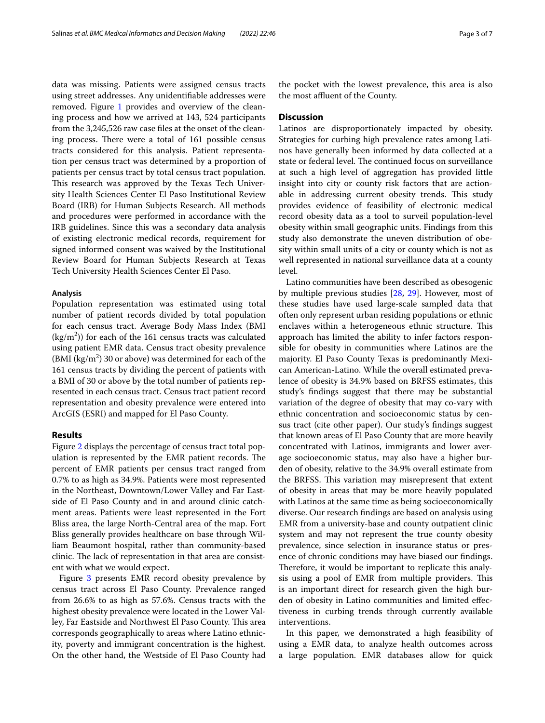data was missing. Patients were assigned census tracts using street addresses. Any unidentifable addresses were removed. Figure [1](#page-1-0) provides and overview of the cleaning process and how we arrived at 143, 524 participants from the 3,245,526 raw case fles at the onset of the cleaning process. There were a total of 161 possible census tracts considered for this analysis. Patient representation per census tract was determined by a proportion of patients per census tract by total census tract population. This research was approved by the Texas Tech University Health Sciences Center El Paso Institutional Review Board (IRB) for Human Subjects Research. All methods and procedures were performed in accordance with the IRB guidelines. Since this was a secondary data analysis of existing electronic medical records, requirement for signed informed consent was waived by the Institutional Review Board for Human Subjects Research at Texas Tech University Health Sciences Center El Paso.

## **Analysis**

Population representation was estimated using total number of patient records divided by total population for each census tract. Average Body Mass Index (BMI  $\frac{\text{kg}}{\text{m}^2}$ ) for each of the 161 census tracts was calculated using patient EMR data. Census tract obesity prevalence  $(BMI (kg/m<sup>2</sup>) 30 or above) was determined for each of the$ 161 census tracts by dividing the percent of patients with a BMI of 30 or above by the total number of patients represented in each census tract. Census tract patient record representation and obesity prevalence were entered into ArcGIS (ESRI) and mapped for El Paso County.

## **Results**

Figure [2](#page-3-0) displays the percentage of census tract total population is represented by the EMR patient records. The percent of EMR patients per census tract ranged from 0.7% to as high as 34.9%. Patients were most represented in the Northeast, Downtown/Lower Valley and Far Eastside of El Paso County and in and around clinic catchment areas. Patients were least represented in the Fort Bliss area, the large North-Central area of the map. Fort Bliss generally provides healthcare on base through William Beaumont hospital, rather than community-based clinic. The lack of representation in that area are consistent with what we would expect.

Figure [3](#page-4-0) presents EMR record obesity prevalence by census tract across El Paso County. Prevalence ranged from 26.6% to as high as 57.6%. Census tracts with the highest obesity prevalence were located in the Lower Valley, Far Eastside and Northwest El Paso County. This area corresponds geographically to areas where Latino ethnicity, poverty and immigrant concentration is the highest. On the other hand, the Westside of El Paso County had the pocket with the lowest prevalence, this area is also the most affluent of the County.

## **Discussion**

Latinos are disproportionately impacted by obesity. Strategies for curbing high prevalence rates among Latinos have generally been informed by data collected at a state or federal level. The continued focus on surveillance at such a high level of aggregation has provided little insight into city or county risk factors that are actionable in addressing current obesity trends. This study provides evidence of feasibility of electronic medical record obesity data as a tool to surveil population-level obesity within small geographic units. Findings from this study also demonstrate the uneven distribution of obesity within small units of a city or county which is not as well represented in national surveillance data at a county level.

Latino communities have been described as obesogenic by multiple previous studies [[28,](#page-6-3) [29](#page-6-4)]. However, most of these studies have used large-scale sampled data that often only represent urban residing populations or ethnic enclaves within a heterogeneous ethnic structure. This approach has limited the ability to infer factors responsible for obesity in communities where Latinos are the majority. El Paso County Texas is predominantly Mexican American-Latino. While the overall estimated prevalence of obesity is 34.9% based on BRFSS estimates, this study's fndings suggest that there may be substantial variation of the degree of obesity that may co-vary with ethnic concentration and socioeconomic status by census tract (cite other paper). Our study's fndings suggest that known areas of El Paso County that are more heavily concentrated with Latinos, immigrants and lower average socioeconomic status, may also have a higher burden of obesity, relative to the 34.9% overall estimate from the BRFSS. This variation may misrepresent that extent of obesity in areas that may be more heavily populated with Latinos at the same time as being socioeconomically diverse. Our research fndings are based on analysis using EMR from a university-base and county outpatient clinic system and may not represent the true county obesity prevalence, since selection in insurance status or presence of chronic conditions may have biased our fndings. Therefore, it would be important to replicate this analysis using a pool of EMR from multiple providers. This is an important direct for research given the high burden of obesity in Latino communities and limited efectiveness in curbing trends through currently available interventions.

In this paper, we demonstrated a high feasibility of using a EMR data, to analyze health outcomes across a large population. EMR databases allow for quick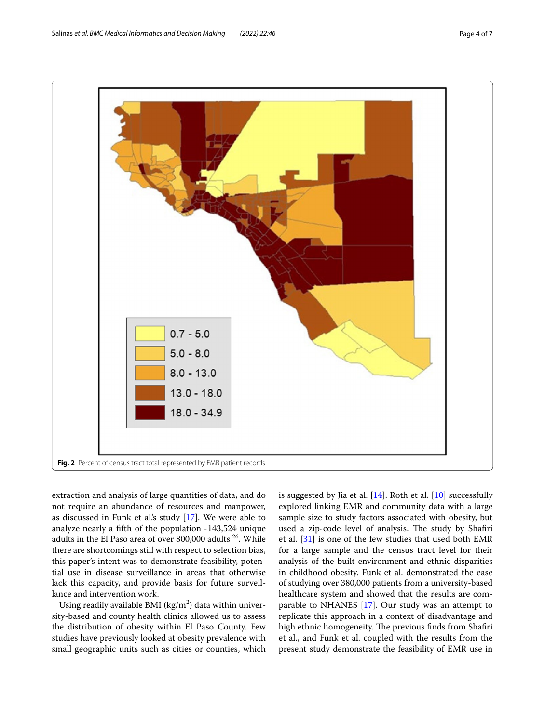

<span id="page-3-0"></span>extraction and analysis of large quantities of data, and do not require an abundance of resources and manpower, as discussed in Funk et al's study [\[17](#page-5-11)]. We were able to analyze nearly a ffth of the population -143,524 unique adults in the El Paso area of over 800,000 adults 26. While there are shortcomings still with respect to selection bias, this paper's intent was to demonstrate feasibility, potential use in disease surveillance in areas that otherwise lack this capacity, and provide basis for future surveillance and intervention work.

Using readily available BMI (kg/m $^2$ ) data within university-based and county health clinics allowed us to assess the distribution of obesity within El Paso County. Few studies have previously looked at obesity prevalence with small geographic units such as cities or counties, which is suggested by Jia et al.  $[14]$ . Roth et al.  $[10]$  $[10]$  successfully explored linking EMR and community data with a large sample size to study factors associated with obesity, but used a zip-code level of analysis. The study by Shafiri et al. [[31](#page-6-5)] is one of the few studies that used both EMR for a large sample and the census tract level for their analysis of the built environment and ethnic disparities in childhood obesity. Funk et al. demonstrated the ease of studying over 380,000 patients from a university-based healthcare system and showed that the results are comparable to NHANES [[17](#page-5-11)]. Our study was an attempt to replicate this approach in a context of disadvantage and high ethnic homogeneity. The previous finds from Shafiri et al., and Funk et al. coupled with the results from the present study demonstrate the feasibility of EMR use in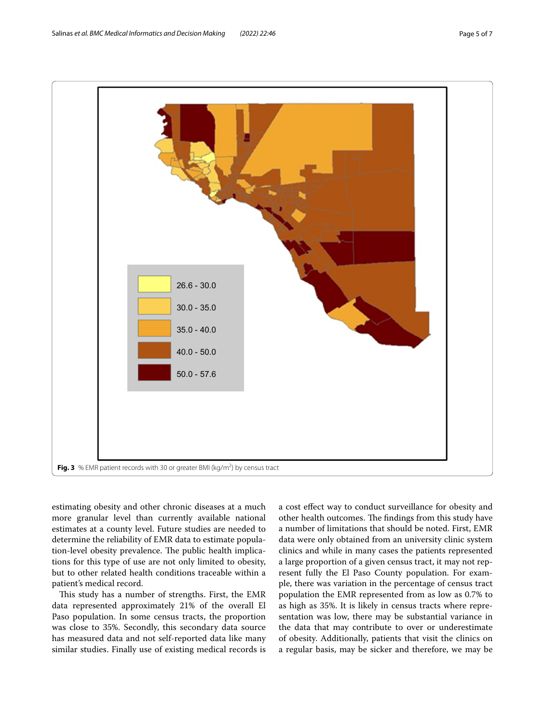

<span id="page-4-0"></span>estimating obesity and other chronic diseases at a much more granular level than currently available national estimates at a county level. Future studies are needed to determine the reliability of EMR data to estimate population-level obesity prevalence. The public health implications for this type of use are not only limited to obesity, but to other related health conditions traceable within a patient's medical record.

This study has a number of strengths. First, the EMR data represented approximately 21% of the overall El Paso population. In some census tracts, the proportion was close to 35%. Secondly, this secondary data source has measured data and not self-reported data like many similar studies. Finally use of existing medical records is a cost efect way to conduct surveillance for obesity and other health outcomes. The findings from this study have a number of limitations that should be noted. First, EMR data were only obtained from an university clinic system clinics and while in many cases the patients represented a large proportion of a given census tract, it may not represent fully the El Paso County population. For example, there was variation in the percentage of census tract population the EMR represented from as low as 0.7% to as high as 35%. It is likely in census tracts where representation was low, there may be substantial variance in the data that may contribute to over or underestimate of obesity. Additionally, patients that visit the clinics on a regular basis, may be sicker and therefore, we may be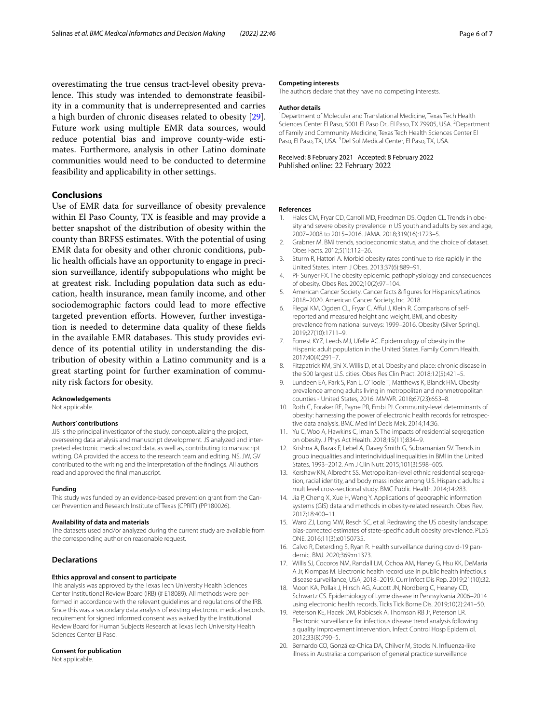overestimating the true census tract-level obesity prevalence. This study was intended to demonstrate feasibility in a community that is underrepresented and carries a high burden of chronic diseases related to obesity [\[29](#page-6-4)]. Future work using multiple EMR data sources, would reduce potential bias and improve county-wide estimates. Furthermore, analysis in other Latino dominate communities would need to be conducted to determine feasibility and applicability in other settings.

# **Conclusions**

Use of EMR data for surveillance of obesity prevalence within El Paso County, TX is feasible and may provide a better snapshot of the distribution of obesity within the county than BRFSS estimates. With the potential of using EMR data for obesity and other chronic conditions, public health officials have an opportunity to engage in precision surveillance, identify subpopulations who might be at greatest risk. Including population data such as education, health insurance, mean family income, and other sociodemographic factors could lead to more efective targeted prevention eforts. However, further investigation is needed to determine data quality of these felds in the available EMR databases. This study provides evidence of its potential utility in understanding the distribution of obesity within a Latino community and is a great starting point for further examination of community risk factors for obesity.

#### **Acknowledgements**

Not applicable.

#### **Authors' contributions**

JJS is the principal investigator of the study, conceptualizing the project, overseeing data analysis and manuscript development. JS analyzed and interpreted electronic medical record data, as well as, contributing to manuscript writing. OA provided the access to the research team and editing. NS, JW, GV contributed to the writing and the interpretation of the fndings. All authors read and approved the fnal manuscript.

#### **Funding**

This study was funded by an evidence-based prevention grant from the Cancer Prevention and Research Institute of Texas (CPRIT) (PP180026).

#### **Availability of data and materials**

The datasets used and/or analyzed during the current study are available from the corresponding author on reasonable request.

# **Declarations**

#### **Ethics approval and consent to participate**

This analysis was approved by the Texas Tech University Health Sciences Center Institutional Review Board (IRB) (# E18089). All methods were performed in accordance with the relevant guidelines and regulations of the IRB. Since this was a secondary data analysis of existing electronic medical records, requirement for signed informed consent was waived by the Institutional Review Board for Human Subjects Research at Texas Tech University Health Sciences Center El Paso.

#### **Consent for publication**

Not applicable.

#### **Competing interests**

The authors declare that they have no competing interests.

#### **Author details**

<sup>1</sup> Department of Molecular and Translational Medicine, Texas Tech Health Sciences Center El Paso, 5001 El Paso Dr., El Paso, TX 79905, USA. <sup>2</sup> Department of Family and Community Medicine, Texas Tech Health Sciences Center El Paso, El Paso, TX, USA.<sup>3</sup> Del Sol Medical Center, El Paso, TX, USA.

Received: 8 February 2021 Accepted: 8 February 2022 Published online: 22 February 2022

#### **References**

- <span id="page-5-0"></span>1. Hales CM, Fryar CD, Carroll MD, Freedman DS, Ogden CL. Trends in obesity and severe obesity prevalence in US youth and adults by sex and age, 2007–2008 to 2015–2016. JAMA. 2018;319(16):1723–5.
- 2. Grabner M. BMI trends, socioeconomic status, and the choice of dataset. Obes Facts. 2012;5(1):112–26.
- <span id="page-5-1"></span>3. Sturm R, Hattori A. Morbid obesity rates continue to rise rapidly in the United States. Intern J Obes. 2013;37(6):889–91.
- <span id="page-5-2"></span>4. Pi- Sunyer FX. The obesity epidemic: pathophysiology and consequences of obesity. Obes Res. 2002;10(2):97–104.
- <span id="page-5-3"></span>5. American Cancer Society. Cancer facts & fgures for Hispanics/Latinos 2018–2020. American Cancer Society, Inc. 2018.
- <span id="page-5-4"></span>6. Flegal KM, Ogden CL, Fryar C, Afful J, Klein R. Comparisons of selfreported and measured height and weight, BMI, and obesity prevalence from national surveys: 1999–2016. Obesity (Silver Spring). 2019;27(10):1711–9.
- <span id="page-5-5"></span>7. Forrest KYZ, Leeds MJ, Ufelle AC. Epidemiology of obesity in the Hispanic adult population in the United States. Family Comm Health. 2017;40(4):291–7.
- <span id="page-5-6"></span>8. Fitzpatrick KM, Shi X, Willis D, et al. Obesity and place: chronic disease in the 500 largest U.S. cities. Obes Res Clin Pract. 2018;12(5):421–5.
- 9. Lundeen EA, Park S, Pan L, O'Toole T, Matthews K, Blanck HM. Obesity prevalence among adults living in metropolitan and nonmetropolitan counties - United States, 2016. MMWR. 2018;67(23):653–8.
- <span id="page-5-14"></span>10. Roth C, Foraker RE, Payne PR, Embi PJ. Community-level determinants of obesity: harnessing the power of electronic health records for retrospective data analysis. BMC Med Inf Decis Mak. 2014;14:36.
- 11. Yu C, Woo A, Hawkins C, Iman S. The impacts of residential segregation on obesity. J Phys Act Health. 2018;15(11):834–9.
- 12. Krishna A, Razak F, Lebel A, Davey Smith G, Subramanian SV. Trends in group inequalities and interindividual inequalities in BMI in the United States, 1993–2012. Am J Clin Nutr. 2015;101(3):598–605.
- <span id="page-5-7"></span>13. Kershaw KN, Albrecht SS. Metropolitan-level ethnic residential segregation, racial identity, and body mass index among U.S. Hispanic adults: a multilevel cross-sectional study. BMC Public Health. 2014;14:283.
- <span id="page-5-8"></span>14. Jia P, Cheng X, Xue H, Wang Y. Applications of geographic information systems (GIS) data and methods in obesity-related research. Obes Rev. 2017;18:400–11.
- <span id="page-5-9"></span>15. Ward ZJ, Long MW, Resch SC, et al. Redrawing the US obesity landscape: bias-corrected estimates of state-specifc adult obesity prevalence. PLoS ONE. 2016;11(3):e0150735.
- <span id="page-5-10"></span>16. Calvo R, Deterding S, Ryan R. Health surveillance during covid-19 pandemic. BMJ. 2020;369:m1373.
- <span id="page-5-11"></span>17. Willis SJ, Cocoros NM, Randall LM, Ochoa AM, Haney G, Hsu KK, DeMaria A Jr, Klompas M. Electronic health record use in public health infectious disease surveillance, USA, 2018–2019. Curr Infect Dis Rep. 2019;21(10):32.
- <span id="page-5-12"></span>18. Moon KA, Pollak J, Hirsch AG, Aucott JN, Nordberg C, Heaney CD, Schwartz CS. Epidemiology of Lyme disease in Pennsylvania 2006–2014 using electronic health records. Ticks Tick Borne Dis. 2019;10(2):241–50.
- 19. Peterson KE, Hacek DM, Robicsek A, Thomson RB Jr, Peterson LR. Electronic surveillance for infectious disease trend analysis following a quality improvement intervention. Infect Control Hosp Epidemiol. 2012;33(8):790–5.
- <span id="page-5-13"></span>20. Bernardo CO, González-Chica DA, Chilver M, Stocks N. Infuenza-like illness in Australia: a comparison of general practice surveillance